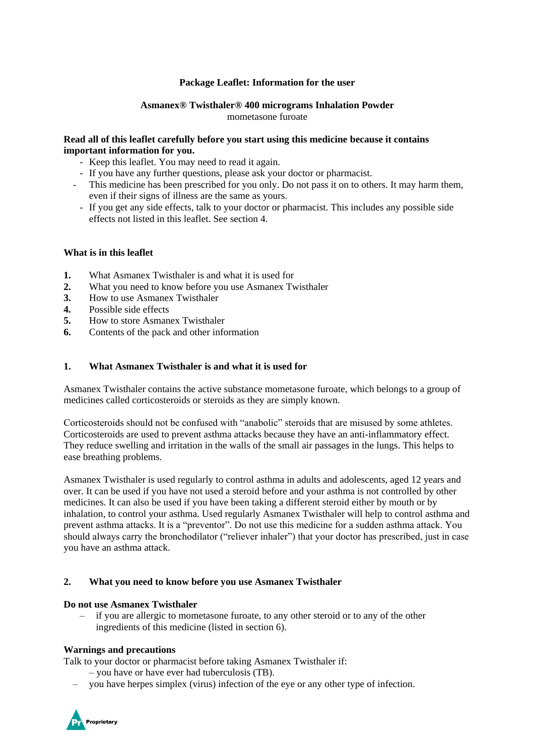### **Package Leaflet: Information for the user**

# **Asmanex® Twisthaler® 400 micrograms Inhalation Powder** mometasone furoate

### **Read all of this leaflet carefully before you start using this medicine because it contains important information for you.**

- Keep this leaflet. You may need to read it again.
- If you have any further questions, please ask your doctor or pharmacist.
- This medicine has been prescribed for you only. Do not pass it on to others. It may harm them, even if their signs of illness are the same as yours.
- If you get any side effects, talk to your doctor or pharmacist. This includes any possible side effects not listed in this leaflet. See section 4.

#### **What is in this leaflet**

- **1.** What Asmanex Twisthaler is and what it is used for
- **2.** What you need to know before you use Asmanex Twisthaler
- **3.** How to use Asmanex Twisthaler
- **4.** Possible side effects
- **5.** How to store Asmanex Twisthaler
- **6.** Contents of the pack and other information

#### **1. What Asmanex Twisthaler is and what it is used for**

Asmanex Twisthaler contains the active substance mometasone furoate, which belongs to a group of medicines called corticosteroids or steroids as they are simply known.

Corticosteroids should not be confused with "anabolic" steroids that are misused by some athletes. Corticosteroids are used to prevent asthma attacks because they have an anti-inflammatory effect. They reduce swelling and irritation in the walls of the small air passages in the lungs. This helps to ease breathing problems.

Asmanex Twisthaler is used regularly to control asthma in adults and adolescents, aged 12 years and over. It can be used if you have not used a steroid before and your asthma is not controlled by other medicines. It can also be used if you have been taking a different steroid either by mouth or by inhalation, to control your asthma. Used regularly Asmanex Twisthaler will help to control asthma and prevent asthma attacks. It is a "preventor". Do not use this medicine for a sudden asthma attack. You should always carry the bronchodilator ("reliever inhaler") that your doctor has prescribed, just in case you have an asthma attack.

#### **2. What you need to know before you use Asmanex Twisthaler**

#### **Do not use Asmanex Twisthaler**

– if you are allergic to mometasone furoate, to any other steroid or to any of the other ingredients of this medicine (listed in section 6).

#### **Warnings and precautions**

Talk to your doctor or pharmacist before taking Asmanex Twisthaler if:

- you have or have ever had tuberculosis (TB).
- you have herpes simplex (virus) infection of the eye or any other type of infection.

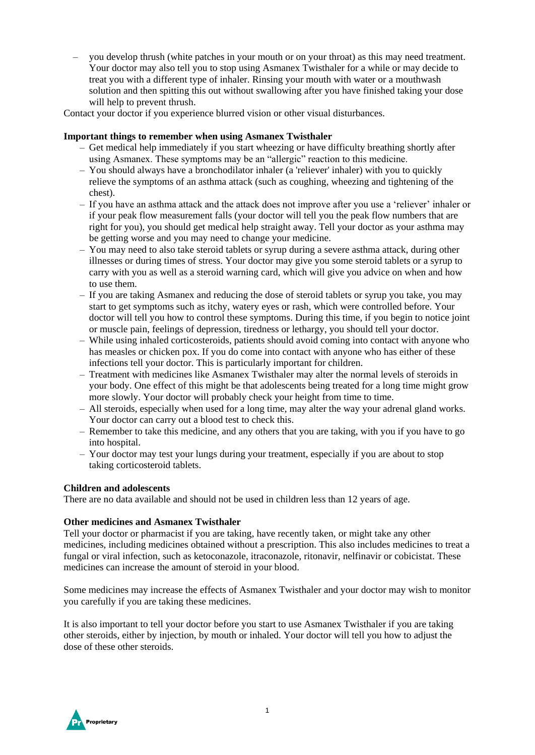– you develop thrush (white patches in your mouth or on your throat) as this may need treatment. Your doctor may also tell you to stop using Asmanex Twisthaler for a while or may decide to treat you with a different type of inhaler. Rinsing your mouth with water or a mouthwash solution and then spitting this out without swallowing after you have finished taking your dose will help to prevent thrush.

Contact your doctor if you experience blurred vision or other visual disturbances.

### **Important things to remember when using Asmanex Twisthaler**

- Get medical help immediately if you start wheezing or have difficulty breathing shortly after using Asmanex. These symptoms may be an "allergic" reaction to this medicine.
- You should always have a bronchodilator inhaler (a 'reliever' inhaler) with you to quickly relieve the symptoms of an asthma attack (such as coughing, wheezing and tightening of the chest).
- If you have an asthma attack and the attack does not improve after you use a 'reliever' inhaler or if your peak flow measurement falls (your doctor will tell you the peak flow numbers that are right for you), you should get medical help straight away. Tell your doctor as your asthma may be getting worse and you may need to change your medicine.
- You may need to also take steroid tablets or syrup during a severe asthma attack, during other illnesses or during times of stress. Your doctor may give you some steroid tablets or a syrup to carry with you as well as a steroid warning card, which will give you advice on when and how to use them.
- If you are taking Asmanex and reducing the dose of steroid tablets or syrup you take, you may start to get symptoms such as itchy, watery eyes or rash, which were controlled before. Your doctor will tell you how to control these symptoms. During this time, if you begin to notice joint or muscle pain, feelings of depression, tiredness or lethargy, you should tell your doctor.
- While using inhaled corticosteroids, patients should avoid coming into contact with anyone who has measles or chicken pox. If you do come into contact with anyone who has either of these infections tell your doctor. This is particularly important for children.
- Treatment with medicines like Asmanex Twisthaler may alter the normal levels of steroids in your body. One effect of this might be that adolescents being treated for a long time might grow more slowly. Your doctor will probably check your height from time to time.
- All steroids, especially when used for a long time, may alter the way your adrenal gland works. Your doctor can carry out a blood test to check this.
- Remember to take this medicine, and any others that you are taking, with you if you have to go into hospital.
- Your doctor may test your lungs during your treatment, especially if you are about to stop taking corticosteroid tablets.

# **Children and adolescents**

There are no data available and should not be used in children less than 12 years of age.

# **Other medicines and Asmanex Twisthaler**

Tell your doctor or pharmacist if you are taking, have recently taken, or might take any other medicines, including medicines obtained without a prescription. This also includes medicines to treat a fungal or viral infection, such as ketoconazole, itraconazole, ritonavir, nelfinavir or cobicistat. These medicines can increase the amount of steroid in your blood.

Some medicines may increase the effects of Asmanex Twisthaler and your doctor may wish to monitor you carefully if you are taking these medicines.

It is also important to tell your doctor before you start to use Asmanex Twisthaler if you are taking other steroids, either by injection, by mouth or inhaled. Your doctor will tell you how to adjust the dose of these other steroids.

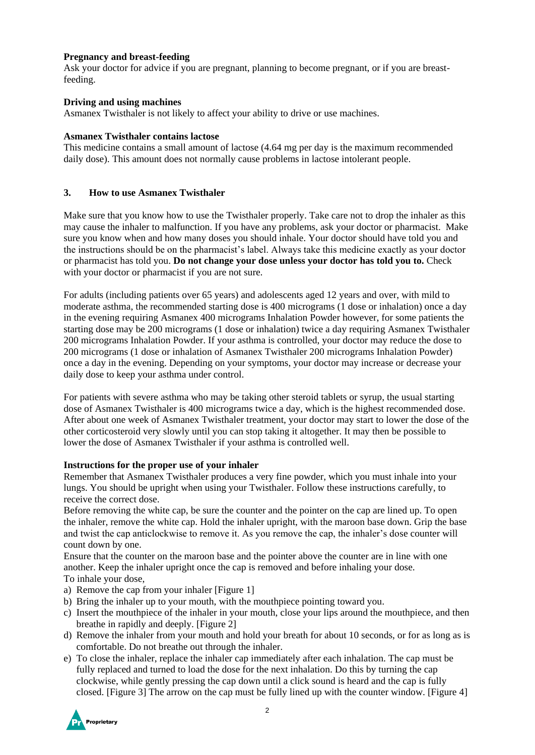# **Pregnancy and breast-feeding**

Ask your doctor for advice if you are pregnant, planning to become pregnant, or if you are breastfeeding.

# **Driving and using machines**

Asmanex Twisthaler is not likely to affect your ability to drive or use machines.

# **Asmanex Twisthaler contains lactose**

This medicine contains a small amount of lactose (4.64 mg per day is the maximum recommended daily dose). This amount does not normally cause problems in lactose intolerant people.

# **3. How to use Asmanex Twisthaler**

Make sure that you know how to use the Twisthaler properly. Take care not to drop the inhaler as this may cause the inhaler to malfunction. If you have any problems, ask your doctor or pharmacist. Make sure you know when and how many doses you should inhale. Your doctor should have told you and the instructions should be on the pharmacist's label. Always take this medicine exactly as your doctor or pharmacist has told you. **Do not change your dose unless your doctor has told you to.** Check with your doctor or pharmacist if you are not sure.

For adults (including patients over 65 years) and adolescents aged 12 years and over, with mild to moderate asthma, the recommended starting dose is 400 micrograms (1 dose or inhalation) once a day in the evening requiring Asmanex 400 micrograms Inhalation Powder however, for some patients the starting dose may be 200 micrograms (1 dose or inhalation) twice a day requiring Asmanex Twisthaler 200 micrograms Inhalation Powder. If your asthma is controlled, your doctor may reduce the dose to 200 micrograms (1 dose or inhalation of Asmanex Twisthaler 200 micrograms Inhalation Powder) once a day in the evening. Depending on your symptoms, your doctor may increase or decrease your daily dose to keep your asthma under control.

For patients with severe asthma who may be taking other steroid tablets or syrup, the usual starting dose of Asmanex Twisthaler is 400 micrograms twice a day, which is the highest recommended dose. After about one week of Asmanex Twisthaler treatment, your doctor may start to lower the dose of the other corticosteroid very slowly until you can stop taking it altogether. It may then be possible to lower the dose of Asmanex Twisthaler if your asthma is controlled well.

# **Instructions for the proper use of your inhaler**

Remember that Asmanex Twisthaler produces a very fine powder, which you must inhale into your lungs. You should be upright when using your Twisthaler. Follow these instructions carefully, to receive the correct dose.

Before removing the white cap, be sure the counter and the pointer on the cap are lined up. To open the inhaler, remove the white cap. Hold the inhaler upright, with the maroon base down. Grip the base and twist the cap anticlockwise to remove it. As you remove the cap, the inhaler's dose counter will count down by one.

Ensure that the counter on the maroon base and the pointer above the counter are in line with one another. Keep the inhaler upright once the cap is removed and before inhaling your dose. To inhale your dose,

- a) Remove the cap from your inhaler [Figure 1]
- b) Bring the inhaler up to your mouth, with the mouthpiece pointing toward you.
- c) Insert the mouthpiece of the inhaler in your mouth, close your lips around the mouthpiece, and then breathe in rapidly and deeply. [Figure 2]
- d) Remove the inhaler from your mouth and hold your breath for about 10 seconds, or for as long as is comfortable. Do not breathe out through the inhaler.
- e) To close the inhaler, replace the inhaler cap immediately after each inhalation. The cap must be fully replaced and turned to load the dose for the next inhalation. Do this by turning the cap clockwise, while gently pressing the cap down until a click sound is heard and the cap is fully closed. [Figure 3] The arrow on the cap must be fully lined up with the counter window. [Figure 4]

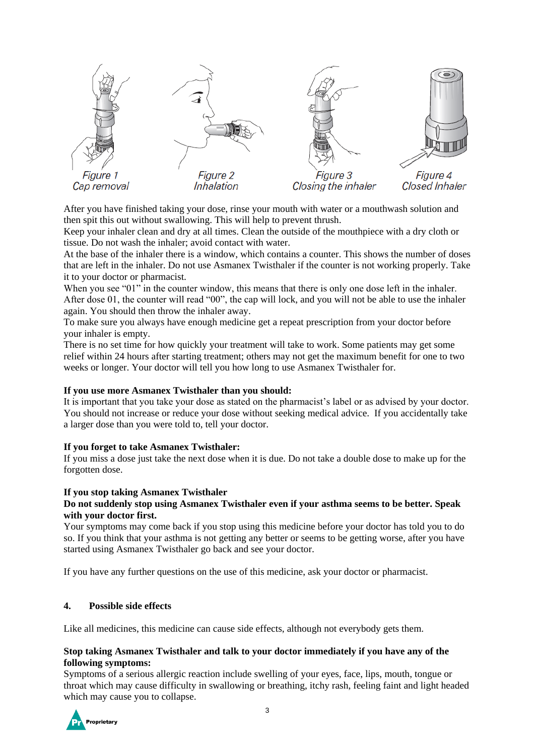

After you have finished taking your dose, rinse your mouth with water or a mouthwash solution and then spit this out without swallowing. This will help to prevent thrush.

Keep your inhaler clean and dry at all times. Clean the outside of the mouthpiece with a dry cloth or tissue. Do not wash the inhaler; avoid contact with water.

At the base of the inhaler there is a window, which contains a counter. This shows the number of doses that are left in the inhaler. Do not use Asmanex Twisthaler if the counter is not working properly. Take it to your doctor or pharmacist.

When you see "01" in the counter window, this means that there is only one dose left in the inhaler. After dose 01, the counter will read "00", the cap will lock, and you will not be able to use the inhaler again. You should then throw the inhaler away.

To make sure you always have enough medicine get a repeat prescription from your doctor before your inhaler is empty.

There is no set time for how quickly your treatment will take to work. Some patients may get some relief within 24 hours after starting treatment; others may not get the maximum benefit for one to two weeks or longer. Your doctor will tell you how long to use Asmanex Twisthaler for.

#### **If you use more Asmanex Twisthaler than you should:**

It is important that you take your dose as stated on the pharmacist's label or as advised by your doctor. You should not increase or reduce your dose without seeking medical advice. If you accidentally take a larger dose than you were told to, tell your doctor.

#### **If you forget to take Asmanex Twisthaler:**

If you miss a dose just take the next dose when it is due. Do not take a double dose to make up for the forgotten dose.

#### **If you stop taking Asmanex Twisthaler**

# **Do not suddenly stop using Asmanex Twisthaler even if your asthma seems to be better. Speak with your doctor first.**

Your symptoms may come back if you stop using this medicine before your doctor has told you to do so. If you think that your asthma is not getting any better or seems to be getting worse, after you have started using Asmanex Twisthaler go back and see your doctor.

If you have any further questions on the use of this medicine, ask your doctor or pharmacist.

#### **4. Possible side effects**

Like all medicines, this medicine can cause side effects, although not everybody gets them.

#### **Stop taking Asmanex Twisthaler and talk to your doctor immediately if you have any of the following symptoms:**

Symptoms of a serious allergic reaction include swelling of your eyes, face, lips, mouth, tongue or throat which may cause difficulty in swallowing or breathing, itchy rash, feeling faint and light headed which may cause you to collapse.

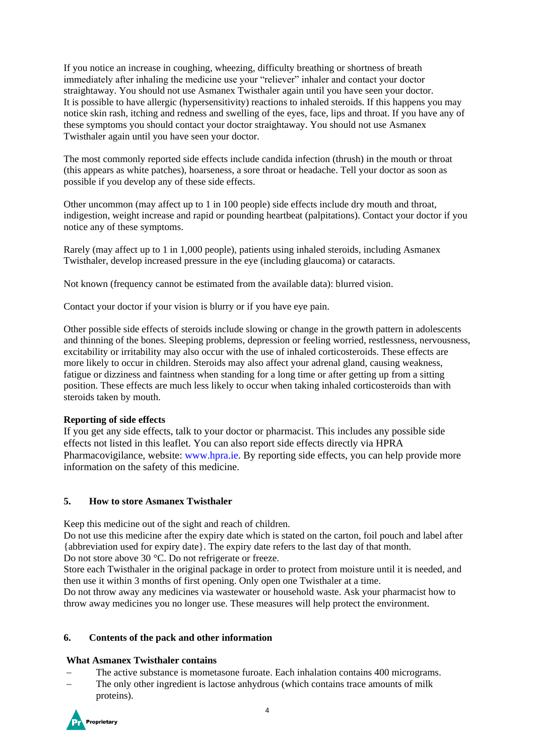If you notice an increase in coughing, wheezing, difficulty breathing or shortness of breath immediately after inhaling the medicine use your "reliever" inhaler and contact your doctor straightaway. You should not use Asmanex Twisthaler again until you have seen your doctor. It is possible to have allergic (hypersensitivity) reactions to inhaled steroids. If this happens you may notice skin rash, itching and redness and swelling of the eyes, face, lips and throat. If you have any of these symptoms you should contact your doctor straightaway. You should not use Asmanex Twisthaler again until you have seen your doctor.

The most commonly reported side effects include candida infection (thrush) in the mouth or throat (this appears as white patches), hoarseness, a sore throat or headache. Tell your doctor as soon as possible if you develop any of these side effects.

Other uncommon (may affect up to 1 in 100 people) side effects include dry mouth and throat, indigestion, weight increase and rapid or pounding heartbeat (palpitations). Contact your doctor if you notice any of these symptoms.

Rarely (may affect up to 1 in 1,000 people), patients using inhaled steroids, including Asmanex Twisthaler, develop increased pressure in the eye (including glaucoma) or cataracts.

Not known (frequency cannot be estimated from the available data): blurred vision.

Contact your doctor if your vision is blurry or if you have eye pain.

Other possible side effects of steroids include slowing or change in the growth pattern in adolescents and thinning of the bones. Sleeping problems, depression or feeling worried, restlessness, nervousness, excitability or irritability may also occur with the use of inhaled corticosteroids. These effects are more likely to occur in children. Steroids may also affect your adrenal gland, causing weakness, fatigue or dizziness and faintness when standing for a long time or after getting up from a sitting position. These effects are much less likely to occur when taking inhaled corticosteroids than with steroids taken by mouth.

#### **Reporting of side effects**

If you get any side effects, talk to your doctor or pharmacist. This includes any possible side effects not listed in this leaflet. You can also report side effects directly via HPRA Pharmacovigilance, website: www.hpra.ie. By reporting side effects, you can help provide more information on the safety of this medicine.

# **5. How to store Asmanex Twisthaler**

Keep this medicine out of the sight and reach of children.

Do not use this medicine after the expiry date which is stated on the carton, foil pouch and label after {abbreviation used for expiry date}. The expiry date refers to the last day of that month. Do not store above 30 °C. Do not refrigerate or freeze.

Store each Twisthaler in the original package in order to protect from moisture until it is needed, and then use it within 3 months of first opening. Only open one Twisthaler at a time.

Do not throw away any medicines via wastewater or household waste. Ask your pharmacist how to throw away medicines you no longer use. These measures will help protect the environment.

#### **6. Contents of the pack and other information**

#### **What Asmanex Twisthaler contains**

- The active substance is mometasone furoate. Each inhalation contains 400 micrograms.
- The only other ingredient is lactose anhydrous (which contains trace amounts of milk proteins).